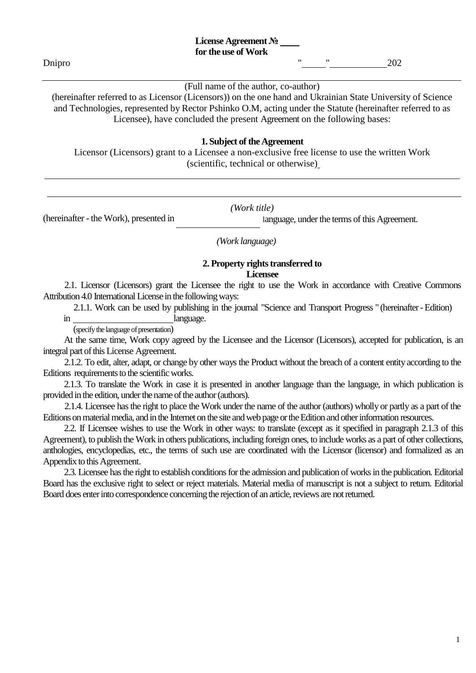#### (Full name of the author, co-author)

(hereinafter referred to as Licensor (Licensors)) on the one hand and Ukrainian State University of Science and Technologies, represented by Rector Pshinko O.M, acting under the Statute (hereinafter referred to as Licensee), have concluded the present Agreement on the following bases:

### **1. Subject of the Agreement**

Licensor (Licensors) grant to a Licensee a non-exclusive free license to use the written Work (scientific, technical or otherwise)

*(Work title)*

language, under the terms of this Agreement.

*(Work language)*

#### **2. Property rights transferred to Licensee**

2.1. Licensor (Licensors) grant the Licensee the right to use the Work in accordance with Creative Commons Attribution 4.0 International License in the following ways:

2.1.1. Work can be used by publishing in the journal "Science and Transport Progress " (hereinafter-Edition)

in language.

(hereinafter - the Work), presented in

(specify the language of presentation)

At the same time, Work copy agreed by the Licensee and the Licensor (Licensors), accepted for publication, is an integral part of this License Agreement.

2.1.2. To edit, alter, adapt, or change by other ways the Product without the breach of a content entity according to the Editions requirements to the scientific works.

2.1.3. To translate the Work in case it is presented in another language than the language, in which publication is provided in the edition, under the name of the author (authors).

2.1.4. Licensee hasthe right to place the Work under the name of the author (authors) wholly or partly as a part of the Editions on material media, and in the Internet on the site and web page or the Edition and other information resources.

2.2. If Licensee wishes to use the Work in other ways: to translate (except as it specified in paragraph 2.1.3 of this Agreement), to publish the Work in others publications, including foreign ones, to include works as a part of other collections, anthologies, encyclopedias, etc., the terms of such use are coordinated with the Licensor (licensor) and formalized as an Appendix to this Agreement.

2.3. Licensee has the right to establish conditions for the admission and publication of works in the publication. Editorial Board has the exclusive right to select or reject materials. Material media of manuscript is not a subject to return. Editorial Board does enter into correspondence concerning the rejection of an article, reviews are not returned.